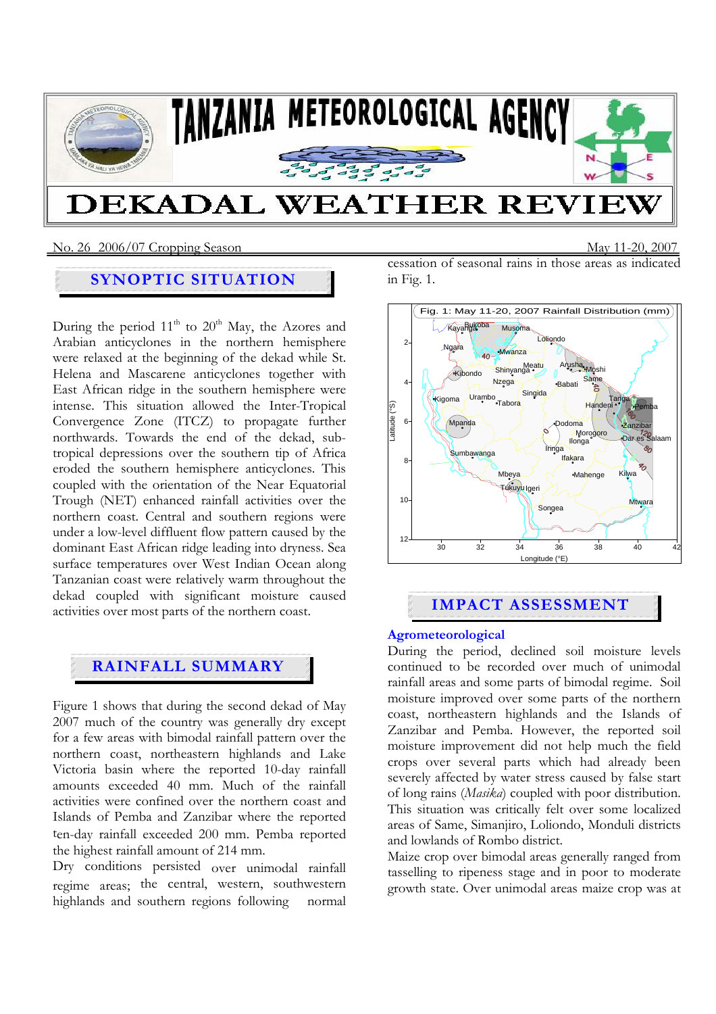

### No. 26 2006/07 Cropping SeasonMay 11-20, 2007

## **SYNOPTIC SITUATION**

During the period  $11<sup>th</sup>$  to  $20<sup>th</sup>$  May, the Azores and Arabian anticyclones in the northern hemisphere were relaxed at the beginning of the dekad while St. Helena and Mascarene anticyclones together with East African ridge in the southern hemisphere were intense. This situation allowed the Inter-Tropical Convergence Zone (ITCZ) to propagate further northwards. Towards the end of the dekad, subtropical depressions over the southern tip of Africa eroded the southern hemisphere anticyclones. This coupled with the orientation of the Near Equatorial Trough (NET) enhanced rainfall activities over the northern coast. Central and southern regions were under a low-level diffluent flow pattern caused by the dominant East African ridge leading into dryness. Sea surface temperatures over West Indian Ocean along Tanzanian coast were relatively warm throughout the dekad coupled with significant moisture caused activities over most parts of the northern coast.

# **RAINFALL SUMMARY**

Figure 1 shows that during the second dekad of May 2007 much of the country was generally dry except for a few areas with bimodal rainfall pattern over the northern coast, northeastern highlands and Lake Victoria basin where the reported 10-day rainfall amounts exceeded 40 mm. Much of the rainfall activities were confined over the northern coast and Islands of Pemba and Zanzibar where the reported ten-day rainfall exceeded 200 mm. Pemba reported the highest rainfall amount of 214 mm.

Dry conditions persisted over unimodal rainfall regime areas; the central, western, southwestern highlands and southern regions following normal

cessation of seasonal rains in those areas as indicated in Fig. 1.



# **IMPACT ASSESSMENT**

### **Agrometeorological**

During the period, declined soil moisture levels continued to be recorded over much of unimodal rainfall areas and some parts of bimodal regime. Soil moisture improved over some parts of the northern coast, northeastern highlands and the Islands of Zanzibar and Pemba. However, the reported soil moisture improvement did not help much the field crops over several parts which had already been severely affected by water stress caused by false start of long rains (*Masika*) coupled with poor distribution. This situation was critically felt over some localized areas of Same, Simanjiro, Loliondo, Monduli districts and lowlands of Rombo district.

Maize crop over bimodal areas generally ranged from tasselling to ripeness stage and in poor to moderate growth state. Over unimodal areas maize crop was at